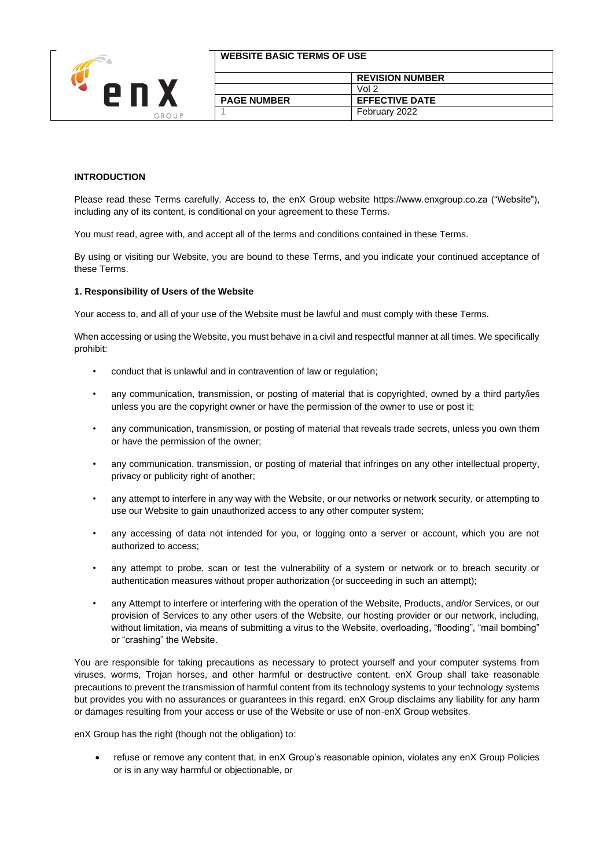

| <b>WEBSITE BASIC TERMS OF USE</b> |                        |
|-----------------------------------|------------------------|
|                                   | <b>REVISION NUMBER</b> |
|                                   | Vol 2                  |
| <b>PAGE NUMBER</b>                | <b>EFFECTIVE DATE</b>  |
|                                   | February 2022          |

## **INTRODUCTION**

Please read these Terms carefully. Access to, the enX Group website https://www.enxgroup.co.za ("Website"), including any of its content, is conditional on your agreement to these Terms.

You must read, agree with, and accept all of the terms and conditions contained in these Terms.

By using or visiting our Website, you are bound to these Terms, and you indicate your continued acceptance of these Terms.

#### **1. Responsibility of Users of the Website**

Your access to, and all of your use of the Website must be lawful and must comply with these Terms.

When accessing or using the Website, you must behave in a civil and respectful manner at all times. We specifically prohibit:

- conduct that is unlawful and in contravention of law or regulation;
- any communication, transmission, or posting of material that is copyrighted, owned by a third party/ies unless you are the copyright owner or have the permission of the owner to use or post it;
- any communication, transmission, or posting of material that reveals trade secrets, unless you own them or have the permission of the owner;
- any communication, transmission, or posting of material that infringes on any other intellectual property, privacy or publicity right of another;
- any attempt to interfere in any way with the Website, or our networks or network security, or attempting to use our Website to gain unauthorized access to any other computer system;
- any accessing of data not intended for you, or logging onto a server or account, which you are not authorized to access;
- any attempt to probe, scan or test the vulnerability of a system or network or to breach security or authentication measures without proper authorization (or succeeding in such an attempt);
- any Attempt to interfere or interfering with the operation of the Website, Products, and/or Services, or our provision of Services to any other users of the Website, our hosting provider or our network, including, without limitation, via means of submitting a virus to the Website, overloading, "flooding", "mail bombing" or "crashing" the Website.

You are responsible for taking precautions as necessary to protect yourself and your computer systems from viruses, worms, Trojan horses, and other harmful or destructive content. enX Group shall take reasonable precautions to prevent the transmission of harmful content from its technology systems to your technology systems but provides you with no assurances or guarantees in this regard. enX Group disclaims any liability for any harm or damages resulting from your access or use of the Website or use of non-enX Group websites.

enX Group has the right (though not the obligation) to:

• refuse or remove any content that, in enX Group's reasonable opinion, violates any enX Group Policies or is in any way harmful or objectionable, or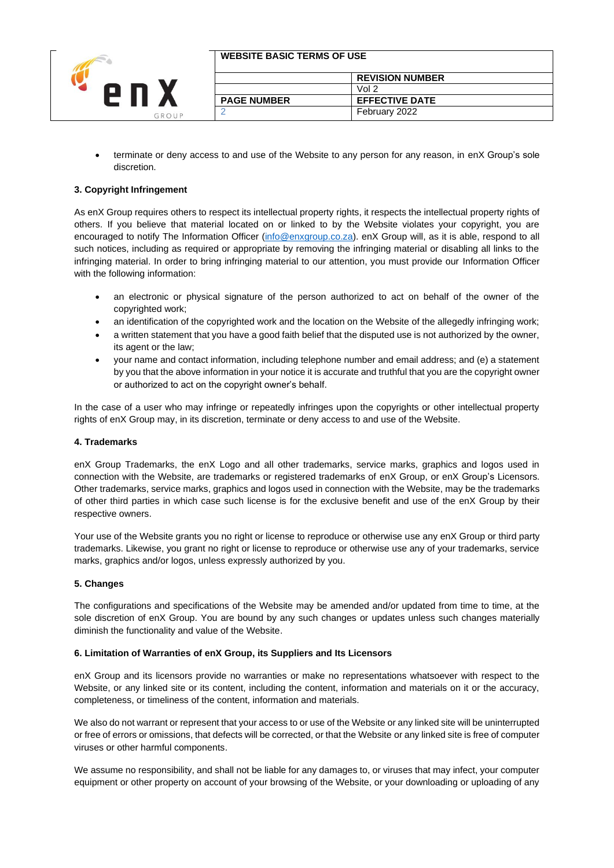

| <b>I WEBSITE BASIC TERMS OF USE</b> |  |
|-------------------------------------|--|
|                                     |  |

|                    | <b>REVISION NUMBER</b> |  |
|--------------------|------------------------|--|
|                    | Vol 2                  |  |
| <b>PAGE NUMBER</b> | <b>EFFECTIVE DATE</b>  |  |
|                    | February 2022          |  |

• terminate or deny access to and use of the Website to any person for any reason, in enX Group's sole discretion.

# **3. Copyright Infringement**

As enX Group requires others to respect its intellectual property rights, it respects the intellectual property rights of others. If you believe that material located on or linked to by the Website violates your copyright, you are encouraged to notify The Information Officer [\(info@enxgroup.co.za\)](mailto:info@enxgroup.co.za). enX Group will, as it is able, respond to all such notices, including as required or appropriate by removing the infringing material or disabling all links to the infringing material. In order to bring infringing material to our attention, you must provide our Information Officer with the following information:

- an electronic or physical signature of the person authorized to act on behalf of the owner of the copyrighted work;
- an identification of the copyrighted work and the location on the Website of the allegedly infringing work;
- a written statement that you have a good faith belief that the disputed use is not authorized by the owner, its agent or the law;
- your name and contact information, including telephone number and email address; and (e) a statement by you that the above information in your notice it is accurate and truthful that you are the copyright owner or authorized to act on the copyright owner's behalf.

In the case of a user who may infringe or repeatedly infringes upon the copyrights or other intellectual property rights of enX Group may, in its discretion, terminate or deny access to and use of the Website.

## **4. Trademarks**

enX Group Trademarks, the enX Logo and all other trademarks, service marks, graphics and logos used in connection with the Website, are trademarks or registered trademarks of enX Group, or enX Group's Licensors. Other trademarks, service marks, graphics and logos used in connection with the Website, may be the trademarks of other third parties in which case such license is for the exclusive benefit and use of the enX Group by their respective owners.

Your use of the Website grants you no right or license to reproduce or otherwise use any enX Group or third party trademarks. Likewise, you grant no right or license to reproduce or otherwise use any of your trademarks, service marks, graphics and/or logos, unless expressly authorized by you.

## **5. Changes**

The configurations and specifications of the Website may be amended and/or updated from time to time, at the sole discretion of enX Group. You are bound by any such changes or updates unless such changes materially diminish the functionality and value of the Website.

## **6. Limitation of Warranties of enX Group, its Suppliers and Its Licensors**

enX Group and its licensors provide no warranties or make no representations whatsoever with respect to the Website, or any linked site or its content, including the content, information and materials on it or the accuracy, completeness, or timeliness of the content, information and materials.

We also do not warrant or represent that your access to or use of the Website or any linked site will be uninterrupted or free of errors or omissions, that defects will be corrected, or that the Website or any linked site is free of computer viruses or other harmful components.

We assume no responsibility, and shall not be liable for any damages to, or viruses that may infect, your computer equipment or other property on account of your browsing of the Website, or your downloading or uploading of any